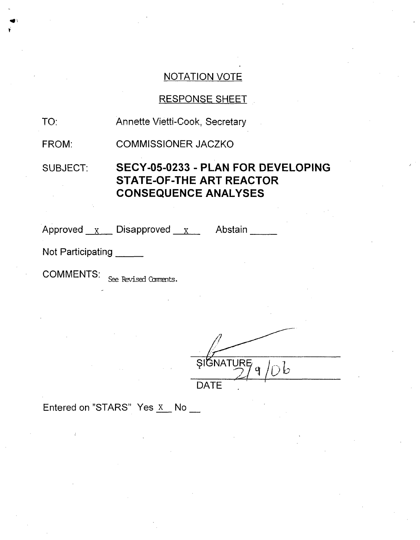## NOTATION VOTE

## RESPONSE SHEET

FROM: COMMISSIONER JACZKO

## SUBJECT: **SECY-05-0233** - **PLAN** FOR **DEVELOPING STATE-OF-THE** ART REACTOR **CONSEQUENCE ANALYSES**

Approved x\_\_\_ Disapproved \_\_<sub>X\_\_\_</sub>\_\_\_ Abstair

Not Participating

COMMENTS: See Revised Comments.

**SIGNATURE** DATE

Entered on "STARS" Yes  $x$  No  $\frac{1}{x}$